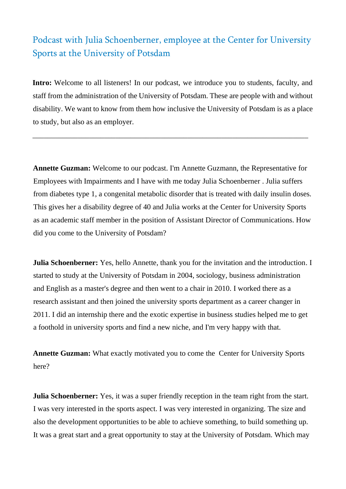## Podcast with Julia Schoenberner, employee at the Center for University Sports at the University of Potsdam

Intro: Welcome to all listeners! In our podcast, we introduce you to students, faculty, and staff from the administration of the University of Potsdam. These are people with and without disability. We want to know from them how inclusive the University of Potsdam is as a place to study, but also as an employer.

\_\_\_\_\_\_\_\_\_\_\_\_\_\_\_\_\_\_\_\_\_\_\_\_\_\_\_\_\_\_\_\_\_\_\_\_\_\_\_\_\_\_\_\_\_\_\_\_\_\_\_\_\_\_\_\_\_\_\_\_\_\_\_\_\_\_\_\_\_\_\_\_\_

**Annette Guzman:** Welcome to our podcast. I'm Annette Guzmann, the Representative for Employees with Impairments and I have with me today Julia Schoenberner . Julia suffers from diabetes type 1, a congenital metabolic disorder that is treated with daily insulin doses. This gives her a disability degree of 40 and Julia works at the Center for University Sports as an academic staff member in the position of Assistant Director of Communications. How did you come to the University of Potsdam?

**Julia Schoenberner:** Yes, hello Annette, thank you for the invitation and the introduction. I started to study at the University of Potsdam in 2004, sociology, business administration and English as a master's degree and then went to a chair in 2010. I worked there as a research assistant and then joined the university sports department as a career changer in 2011. I did an internship there and the exotic expertise in business studies helped me to get a foothold in university sports and find a new niche, and I'm very happy with that.

**Annette Guzman:** What exactly motivated you to come the Center for University Sports here?

**Julia Schoenberner:** Yes, it was a super friendly reception in the team right from the start. I was very interested in the sports aspect. I was very interested in organizing. The size and also the development opportunities to be able to achieve something, to build something up. It was a great start and a great opportunity to stay at the University of Potsdam. Which may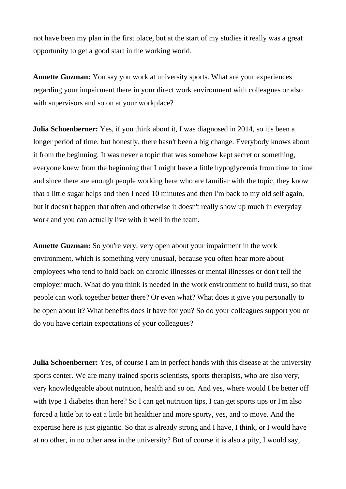not have been my plan in the first place, but at the start of my studies it really was a great opportunity to get a good start in the working world.

**Annette Guzman:** You say you work at university sports. What are your experiences regarding your impairment there in your direct work environment with colleagues or also with supervisors and so on at your workplace?

**Julia Schoenberner:** Yes, if you think about it, I was diagnosed in 2014, so it's been a longer period of time, but honestly, there hasn't been a big change. Everybody knows about it from the beginning. It was never a topic that was somehow kept secret or something, everyone knew from the beginning that I might have a little hypoglycemia from time to time and since there are enough people working here who are familiar with the topic, they know that a little sugar helps and then I need 10 minutes and then I'm back to my old self again, but it doesn't happen that often and otherwise it doesn't really show up much in everyday work and you can actually live with it well in the team.

**Annette Guzman:** So you're very, very open about your impairment in the work environment, which is something very unusual, because you often hear more about employees who tend to hold back on chronic illnesses or mental illnesses or don't tell the employer much. What do you think is needed in the work environment to build trust, so that people can work together better there? Or even what? What does it give you personally to be open about it? What benefits does it have for you? So do your colleagues support you or do you have certain expectations of your colleagues?

**Julia Schoenberner:** Yes, of course I am in perfect hands with this disease at the university sports center. We are many trained sports scientists, sports therapists, who are also very, very knowledgeable about nutrition, health and so on. And yes, where would I be better off with type 1 diabetes than here? So I can get nutrition tips, I can get sports tips or I'm also forced a little bit to eat a little bit healthier and more sporty, yes, and to move. And the expertise here is just gigantic. So that is already strong and I have, I think, or I would have at no other, in no other area in the university? But of course it is also a pity, I would say,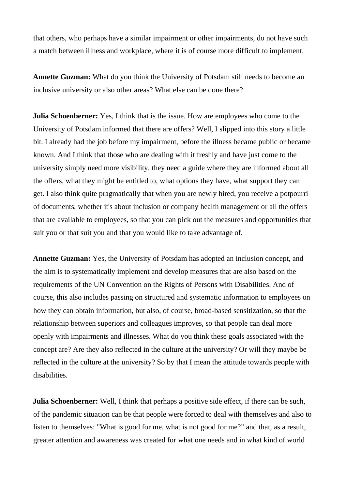that others, who perhaps have a similar impairment or other impairments, do not have such a match between illness and workplace, where it is of course more difficult to implement.

**Annette Guzman:** What do you think the University of Potsdam still needs to become an inclusive university or also other areas? What else can be done there?

**Julia Schoenberner:** Yes, I think that is the issue. How are employees who come to the University of Potsdam informed that there are offers? Well, I slipped into this story a little bit. I already had the job before my impairment, before the illness became public or became known. And I think that those who are dealing with it freshly and have just come to the university simply need more visibility, they need a guide where they are informed about all the offers, what they might be entitled to, what options they have, what support they can get. I also think quite pragmatically that when you are newly hired, you receive a potpourri of documents, whether it's about inclusion or company health management or all the offers that are available to employees, so that you can pick out the measures and opportunities that suit you or that suit you and that you would like to take advantage of.

**Annette Guzman:** Yes, the University of Potsdam has adopted an inclusion concept, and the aim is to systematically implement and develop measures that are also based on the requirements of the UN Convention on the Rights of Persons with Disabilities. And of course, this also includes passing on structured and systematic information to employees on how they can obtain information, but also, of course, broad-based sensitization, so that the relationship between superiors and colleagues improves, so that people can deal more openly with impairments and illnesses. What do you think these goals associated with the concept are? Are they also reflected in the culture at the university? Or will they maybe be reflected in the culture at the university? So by that I mean the attitude towards people with disabilities.

**Julia Schoenberner:** Well, I think that perhaps a positive side effect, if there can be such, of the pandemic situation can be that people were forced to deal with themselves and also to listen to themselves: "What is good for me, what is not good for me?" and that, as a result, greater attention and awareness was created for what one needs and in what kind of world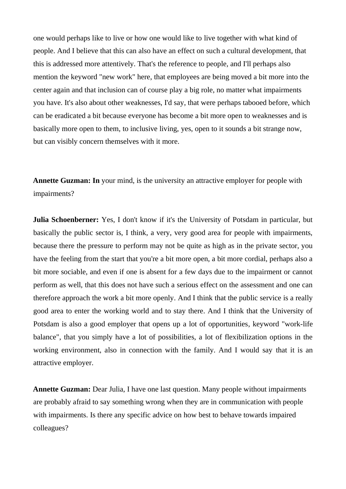one would perhaps like to live or how one would like to live together with what kind of people. And I believe that this can also have an effect on such a cultural development, that this is addressed more attentively. That's the reference to people, and I'll perhaps also mention the keyword "new work" here, that employees are being moved a bit more into the center again and that inclusion can of course play a big role, no matter what impairments you have. It's also about other weaknesses, I'd say, that were perhaps tabooed before, which can be eradicated a bit because everyone has become a bit more open to weaknesses and is basically more open to them, to inclusive living, yes, open to it sounds a bit strange now, but can visibly concern themselves with it more.

**Annette Guzman: In** your mind, is the university an attractive employer for people with impairments?

**Julia Schoenberner:** Yes, I don't know if it's the University of Potsdam in particular, but basically the public sector is, I think, a very, very good area for people with impairments, because there the pressure to perform may not be quite as high as in the private sector, you have the feeling from the start that you're a bit more open, a bit more cordial, perhaps also a bit more sociable, and even if one is absent for a few days due to the impairment or cannot perform as well, that this does not have such a serious effect on the assessment and one can therefore approach the work a bit more openly. And I think that the public service is a really good area to enter the working world and to stay there. And I think that the University of Potsdam is also a good employer that opens up a lot of opportunities, keyword "work-life balance", that you simply have a lot of possibilities, a lot of flexibilization options in the working environment, also in connection with the family. And I would say that it is an attractive employer.

**Annette Guzman:** Dear Julia, I have one last question. Many people without impairments are probably afraid to say something wrong when they are in communication with people with impairments. Is there any specific advice on how best to behave towards impaired colleagues?